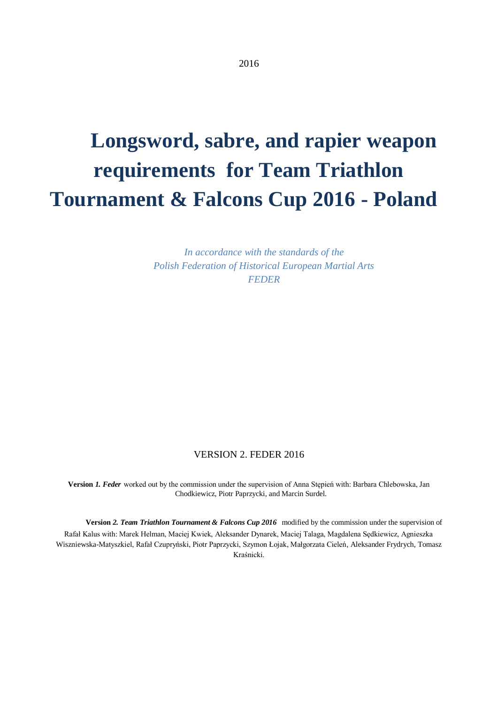# **Longsword, sabre, and rapier weapon requirements for Team Triathlon Tournament & Falcons Cup 2016 - Poland**

*In accordance with the standards of the Polish Federation of Historical European Martial Arts FEDER*

#### VERSION 2. FEDER 2016

**Version** *1. Feder* worked out by the commission under the supervision of Anna Stępień with: Barbara Chlebowska, Jan Chodkiewicz, Piotr Paprzycki, and Marcin Surdel.

**Version** *2. Team Triathlon Tournament & Falcons Cup 2016* modified by the commission under the supervision of Rafał Kalus with: Marek Helman, Maciej Kwiek, Aleksander Dynarek, Maciej Talaga, Magdalena Sędkiewicz, Agnieszka Wiszniewska-Matyszkiel, Rafał Czupryński, Piotr Paprzycki, Szymon Łojak, Małgorzata Cieleń, Aleksander Frydrych, Tomasz Kraśnicki.